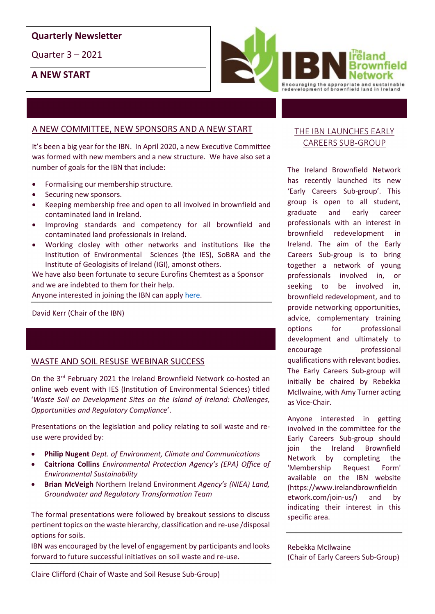#### Quarterly Newsletter

Quarter 3 – 2021

A NEW START



## A NEW COMMITTEE, NEW SPONSORS AND A NEW START

It's been a big year for the IBN. In April 2020, a new Executive Committee was formed with new members and a new structure. We have also set a number of goals for the IBN that include:

- Formalising our membership structure.
- Securing new sponsors.
- Keeping membership free and open to all involved in brownfield and contaminated land in Ireland.
- Improving standards and competency for all brownfield and contaminated land professionals in Ireland.
- Working closley with other networks and institutions like the Institution of Environmental Sciences (the IES), SoBRA and the Institute of Geologisits of Ireland (IGI), amonst others.

We have also been fortunate to secure Eurofins Chemtest as a Sponsor and we are indebted to them for their help.

Anyone interested in joining the IBN can apply here.<br>David Kerr (Chair of the IBN)

## WASTE AND SOIL RESUSE WEBINAR SUCCESS

On the 3rd February 2021 the Ireland Brownfield Network co-hosted an online web event with IES (Institution of Environmental Sciences) titled 'Waste Soil on Development Sites on the Island of Ireland: Challenges, Opportunities and Regulatory Compliance'.

Presentations on the legislation and policy relating to soil waste and reuse were provided by:

- Philip Nugent Dept. of Environment, Climate and Communications
- Caitríona Collins Environmental Protection Agency's (EPA) Office of Environmental Sustainability
- Brian McVeigh Northern Ireland Environment Agency's (NIEA) Land, Groundwater and Regulatory Transformation Team

The formal presentations were followed by breakout sessions to discuss pertinent topics on the waste hierarchy, classification and re-use /disposal options for soils.

IBN was encouraged by the level of engagement by participants and looks forward to future successful initiatives on soil waste and re-use.

## THE IBN LAUNCHES EARLY CAREERS SUB-GROUP

The Ireland Brownfield Network has recently launched its new 'Early Careers Sub-group'. This group is open to all student, graduate and early career professionals with an interest in brownfield redevelopment in Ireland. The aim of the Early Careers Sub-group is to bring together a network of young professionals involved in, or seeking to be involved in, brownfield redevelopment, and to provide networking opportunities, advice, complementary training options for professional development and ultimately to encourage professional qualifications with relevant bodies. The Early Careers Sub-group will initially be chaired by Rebekka McIlwaine, with Amy Turner acting as Vice-Chair.

Anyone interested in getting involved in the committee for the Early Careers Sub-group should join the Ireland Brownfield Network by completing the 'Membership Request Form' available on the IBN website (https://www.irelandbrownfieldn etwork.com/join-us/) and by indicating their interest in this specific area.

Rebekka McIlwaine (Chair of Early Careers Sub-Group)